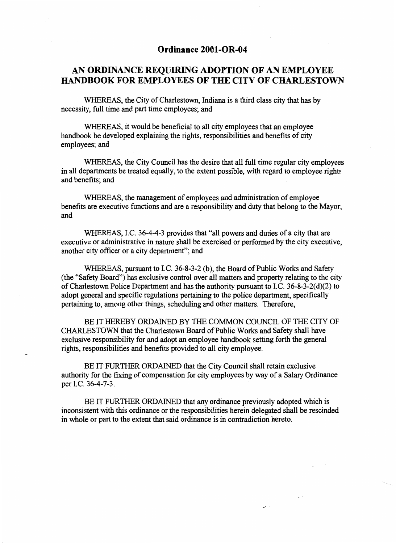### **Ordinance 2001-OR-04**

## **AN ORDINANCE REQUIRING ADOPTION OF AN EMPLOYEE handbook FOR EMPLOYEES OF THE CITY OF CHARLESTOWN**

WHEREAS, the City of Charlestown, Indiana is a third class city that has by necessity, full time and part time employees; and

WHEREAS, it would be beneficial to all city employees that an employee handbook be developed explaining the rights, responsibilities and benefits of city employees; and

WHEREAS, the City Council has the desire that all full time regular city employees in all departments be treated equally, to the extent possible, with regard to employee rights and benefits; and

WHEREAS, the management of employees and administration of employee benefits are executive functions and are a responsibility and duty that belong to the Mayor; and

WHEREAS, I.C. 36-4-4-3 provides that "all powers and duties of a city that are executive or administrative in nature shall be exercised or performed by the city executive, another city officer or a city department"; and

WHEREAS, pursuant to IC. 36-8-3-2 (b), the Board of Public Works and Safety (the "Safety Board") has exclusive control over all matters and property relating to the city of Charlestown Police Department and has the authority pursuant to I.C. 36-8-3-2(d)(2) to adopt general and specific regulations pertaining to the police department, specifically pertaining to, among other things, scheduling and other matters. Therefore,

BE IT HEREBY ORDAINED BY THE COMMON COUNCIL OF THE CITY OF CHARLESTOWN that the Charlestown Board of Public Works and Safety shall have exclusive responsibility for and adopt an employee handbook setting forth the general rights, responsibilities and benefits provided to all city employee.

BE IT FURTHER ORDAINED that the City Council shall retain exclusive authority for the fixing of compensation for city employees by way of a Salary ordinance per I.C. 36-4-7-3.

BE IT FURTHER ORDAINED that any ordinance previously adopted which is inconsistent with this ordinance or the responsibilities herein delegated shall be rescinded in whole or part to the extent that said ordinance is in contradiction hereto.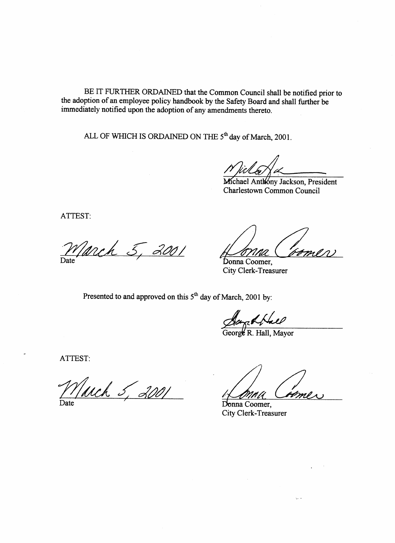BE IT FURTHER ORDAINED that the Common Council shall be notified prior to the adoption **of** an employee policy handbook by the Safety Board and shall further be immediately notified upon the adoption of any amendments thereto.

ALL OF WHICH **IS** ORDAINED ON THE *5th* day of March, 2001.

*Michael Jackson* 

chael Anthóny Jackson, President Charlestown Common Council

ATTEST:

*5: 2001*  Date<sup>-</sup>

Donna Coomer. City Clerk-Treasurer

Presented to and approved on this 5<sup>th</sup> day of March, 2001 by:

*George Hall* Geor R. Hall, Mayor

ATTEST:

*March* Date *5, 2001* 

*d*<br>
Mayor<br> *Come* 

Donna Coomer, City Clerk-Treasurer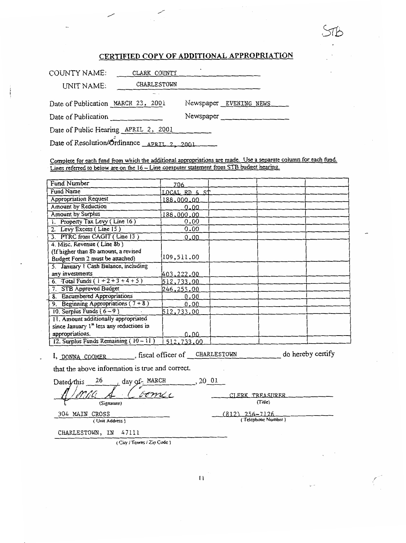## CERTIFIED COPY OF ADDITIONAL APPROPRIATION

| COUNTY NAME:                         | CLARK COUNTY       | ٠                      |
|--------------------------------------|--------------------|------------------------|
| UNIT NAME:                           | <b>CHARLESTOWN</b> |                        |
|                                      |                    |                        |
| Date of Publication MARCH 23, 2001   |                    | Newspaper EVENING NEWS |
| Date of Publication                  |                    | Newspaper              |
| Date of Public Hearing APRIL 2, 2001 |                    |                        |

Date of Resolution/Ordinance APRIL 2, 2001

Complete for each fund from which the additional appropriations are made. Use a separate column for each fund. Lines referred to below are on the 16 - Line computer statement from STB budget hearing.

| <b>Fund Number</b>                         | 706           |  |  |
|--------------------------------------------|---------------|--|--|
| Fund Name                                  | LOCAL RD & ST |  |  |
| <b>Appropriation Request</b>               | 188,000.00    |  |  |
| Amount by Reduction                        | 0.00          |  |  |
| <b>Amount by Surplus</b>                   | 188,000.00    |  |  |
| 1. Property Tax Levy (Line 16)             | 0.00          |  |  |
| 2. Levy Excess (Line 15)                   | 0.00          |  |  |
| 3. PTRC from CAGIT (Line 13)               | 0.00          |  |  |
| 4. Misc. Revenue (Line 8b)                 |               |  |  |
| (If higher than 8b amount, a revised       |               |  |  |
| Budget Form 2 must be attached)            | 109,511.00    |  |  |
| 5. January 1 Cash Balance, including       |               |  |  |
| any investments                            | 403,222.00    |  |  |
| 6. Total Funds $(1 + 2 + 3 + 4 + 5)$       | 512,733.00    |  |  |
| <b>STB Approved Budget</b><br>7.           | 246,255.00    |  |  |
| 8. Encumbered Appropriations               | 0.00          |  |  |
| 9. Beginning Appropriations ( $7 + 8$ )    | 0.00          |  |  |
| 10. Surplus Funds $(6-9)$                  | 512,733.00    |  |  |
| 11. Amount additionally appropriated       |               |  |  |
| since January $1st$ less any reductions in |               |  |  |
| appropriations.                            | 0.00          |  |  |
| 12. Surplus Funds Remaining $(10 - 11)$    | 512.733.00    |  |  |

I, DONNA COOMER ..., fiscal officer of CHARLESTOWN do hereby certify

that the above information is true and correct.

day of MARCH 26 Dated/this  $, 20, 01$ (Signature)

304 MAIN CROSS

(Unit Address)

(Title)  $(812)$  256-7126 (Telephone Number)

CLERK TREASURER

CHARLESTOWN, IN 47111

(City / Towns / Zip Code)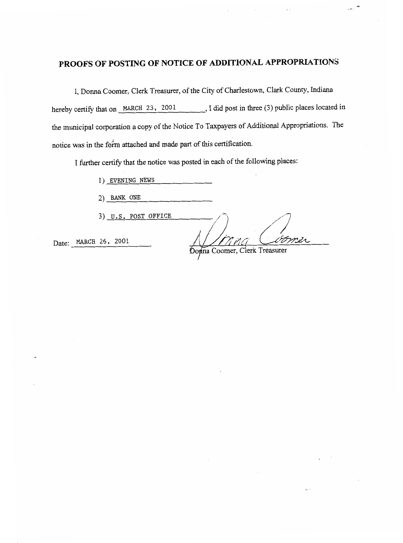# **PROOFS OF POSTING OF NOTICE OF ADDITIONAL APPROPRIATIONS**

I, Donna Coomer, Clerk Treasurer, of the City of Charlestown, Clark County, Indiana hereby certify that on **MARCH 23**, 2001 , I did post in three (3) public places located in the municipal corporation a copy of the Notice To Taxpayers of Additional Appropriations. The notice was in the form attached and made part of this certification.

I further certify that the notice was posted in each of the following places:

1) EVENING NEWS

**2)** BANK ONE

3) **U.S. POST OFFICE** *Donna* 

Donna Coomer, Clerk Treasurer

Date: MARCH 26, 2001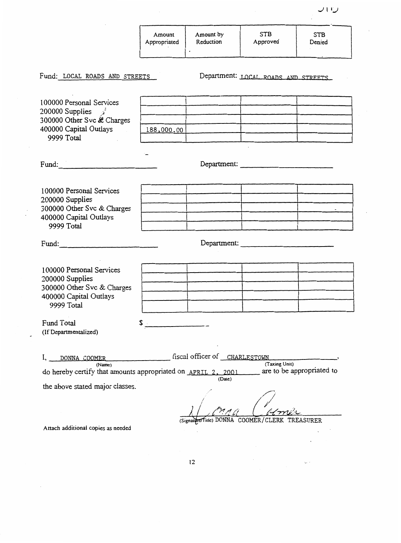|                                                                                                                             | Amount<br>Appropriated | Amount by<br>Reduction<br>$\bullet$ | <b>STB</b><br>Approved              | <b>STB</b><br>Denied      |
|-----------------------------------------------------------------------------------------------------------------------------|------------------------|-------------------------------------|-------------------------------------|---------------------------|
| Fund: LOCAL ROADS AND STREETS                                                                                               |                        |                                     | Department: LOCAL ROADS AND STREETS |                           |
| 100000 Personal Services<br>200000 Supplies $\lambda$<br>300000 Other Svc & Charges<br>400000 Capital Outlays<br>9999 Total |                        |                                     |                                     |                           |
|                                                                                                                             | 188,000.00             |                                     |                                     |                           |
| Fund: 2008                                                                                                                  |                        |                                     | Department:                         |                           |
|                                                                                                                             |                        |                                     |                                     |                           |
| 100000 Personal Services<br>200000 Supplies<br>300000 Other Svc & Charges<br>400000 Capital Outlays                         |                        |                                     |                                     |                           |
|                                                                                                                             |                        |                                     |                                     |                           |
| 9999 Total                                                                                                                  |                        |                                     |                                     |                           |
| Fund:                                                                                                                       |                        |                                     | Department:                         |                           |
|                                                                                                                             |                        |                                     |                                     |                           |
| 100000 Personal Services<br>200000 Supplies<br>300000 Other Svc & Charges<br>400000 Capital Outlays<br>9999 Total           |                        |                                     |                                     |                           |
|                                                                                                                             |                        |                                     |                                     |                           |
|                                                                                                                             |                        |                                     |                                     |                           |
| Fund Total                                                                                                                  |                        |                                     |                                     |                           |
| (If Departmentalized)                                                                                                       |                        |                                     |                                     |                           |
| DONNA COOMER<br>I,                                                                                                          |                        | fiscal officer of CHARLESTOWN       |                                     |                           |
| (Name)<br>do hereby certify that amounts appropriated on APRIL 2, 2001                                                      |                        |                                     | (Taxing Unit)                       | are to be appropriated to |
| the above stated major classes.                                                                                             |                        | (Date)                              |                                     |                           |
|                                                                                                                             |                        |                                     |                                     |                           |
|                                                                                                                             |                        |                                     |                                     |                           |

(SignaldreTitle) DONNA COOMER/CLERK TREASURER

 $\bar{ }$  $\ddot{\phantom{0}}$ 

 $\ddot{\phantom{a}}$ 

 $\zeta_{\rm s}$  .

Attach additional copies as needed

 $\mathcal{L}$